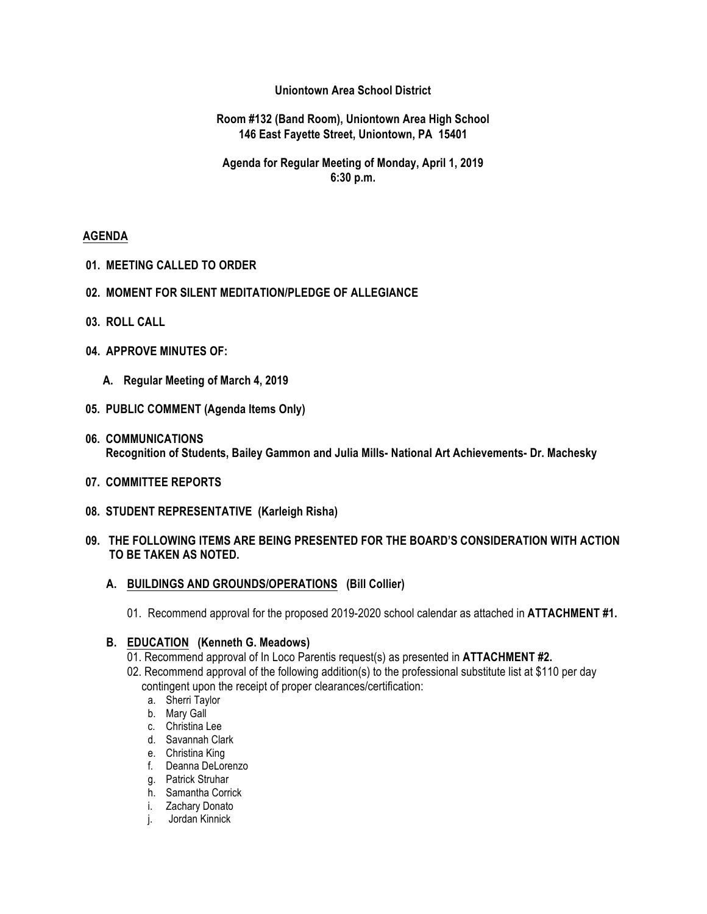### **Uniontown Area School District**

### **Room #132 (Band Room), Uniontown Area High School 146 East Fayette Street, Uniontown, PA 15401**

## **Agenda for Regular Meeting of Monday, April 1, 2019 6:30 p.m.**

### **AGENDA**

- **01. MEETING CALLED TO ORDER**
- **02. MOMENT FOR SILENT MEDITATION/PLEDGE OF ALLEGIANCE**
- **03. ROLL CALL**
- **04. APPROVE MINUTES OF:**
	- **A. Regular Meeting of March 4, 2019**
- **05. PUBLIC COMMENT (Agenda Items Only)**
- **06. COMMUNICATIONS Recognition of Students, Bailey Gammon and Julia Mills- National Art Achievements- Dr. Machesky**
- **07. COMMITTEE REPORTS**
- **08. STUDENT REPRESENTATIVE (Karleigh Risha)**

### **09. THE FOLLOWING ITEMS ARE BEING PRESENTED FOR THE BOARD'S CONSIDERATION WITH ACTION TO BE TAKEN AS NOTED.**

- **A. BUILDINGS AND GROUNDS/OPERATIONS (Bill Collier)**
	- 01. Recommend approval for the proposed 2019-2020 school calendar as attached in **ATTACHMENT #1.**

### **B. EDUCATION (Kenneth G. Meadows)**

- 01. Recommend approval of In Loco Parentis request(s) as presented in **ATTACHMENT #2.**
- 02. Recommend approval of the following addition(s) to the professional substitute list at \$110 per day
	- contingent upon the receipt of proper clearances/certification:
		- a. Sherri Taylor
		- b. Mary Gall
		- c. Christina Lee
		- d. Savannah Clark
		- e. Christina King
		- f. Deanna DeLorenzo
		- g. Patrick Struhar
		- h. Samantha Corrick
		- i. Zachary Donato
		- j. Jordan Kinnick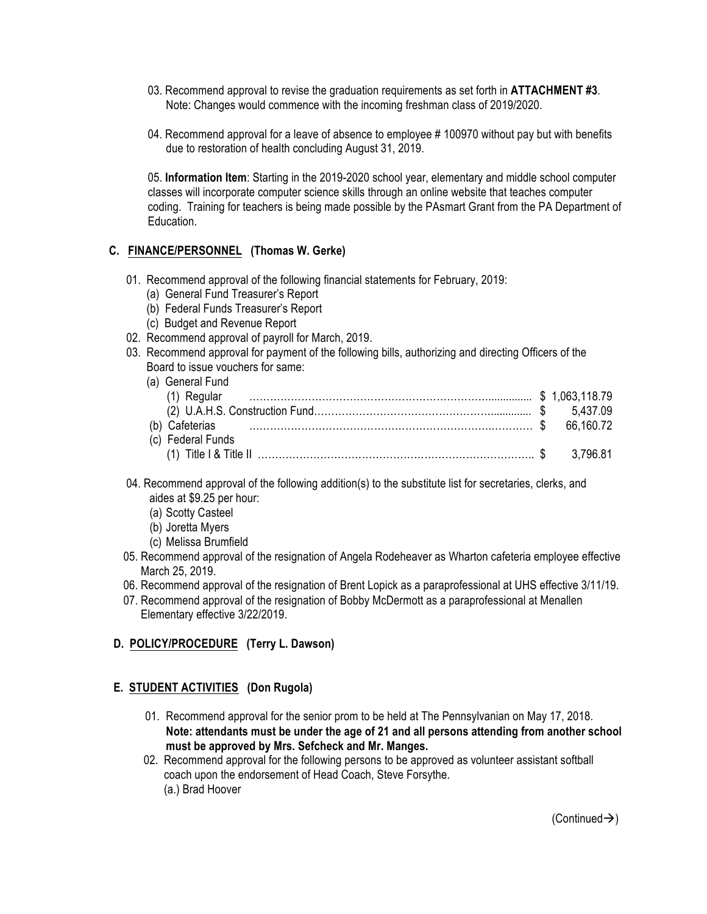- 03. Recommend approval to revise the graduation requirements as set forth in **ATTACHMENT #3**. Note: Changes would commence with the incoming freshman class of 2019/2020.
- 04. Recommend approval for a leave of absence to employee # 100970 without pay but with benefits due to restoration of health concluding August 31, 2019.

05. **Information Item**: Starting in the 2019-2020 school year, elementary and middle school computer classes will incorporate computer science skills through an online website that teaches computer coding. Training for teachers is being made possible by the PAsmart Grant from the PA Department of Education.

# **C. FINANCE/PERSONNEL (Thomas W. Gerke)**

- 01. Recommend approval of the following financial statements for February, 2019:
	- (a) General Fund Treasurer's Report
	- (b) Federal Funds Treasurer's Report
	- (c) Budget and Revenue Report
- 02. Recommend approval of payroll for March, 2019.
- 03. Recommend approval for payment of the following bills, authorizing and directing Officers of the Board to issue vouchers for same:

| (a) General Fund  |  |
|-------------------|--|
|                   |  |
|                   |  |
|                   |  |
| (c) Federal Funds |  |
|                   |  |

- 04. Recommend approval of the following addition(s) to the substitute list for secretaries, clerks, and aides at \$9.25 per hour:
	- (a) Scotty Casteel
	- (b) Joretta Myers
	- (c) Melissa Brumfield
- 05. Recommend approval of the resignation of Angela Rodeheaver as Wharton cafeteria employee effective March 25, 2019.
- 06. Recommend approval of the resignation of Brent Lopick as a paraprofessional at UHS effective 3/11/19.
- 07. Recommend approval of the resignation of Bobby McDermott as a paraprofessional at Menallen Elementary effective 3/22/2019.

# **D. POLICY/PROCEDURE (Terry L. Dawson)**

# **E. STUDENT ACTIVITIES (Don Rugola)**

- 01. Recommend approval for the senior prom to be held at The Pennsylvanian on May 17, 2018. **Note: attendants must be under the age of 21 and all persons attending from another school must be approved by Mrs. Sefcheck and Mr. Manges.**
- 02. Recommend approval for the following persons to be approved as volunteer assistant softball coach upon the endorsement of Head Coach, Steve Forsythe. (a.) Brad Hoover

 $(Continued \rightarrow)$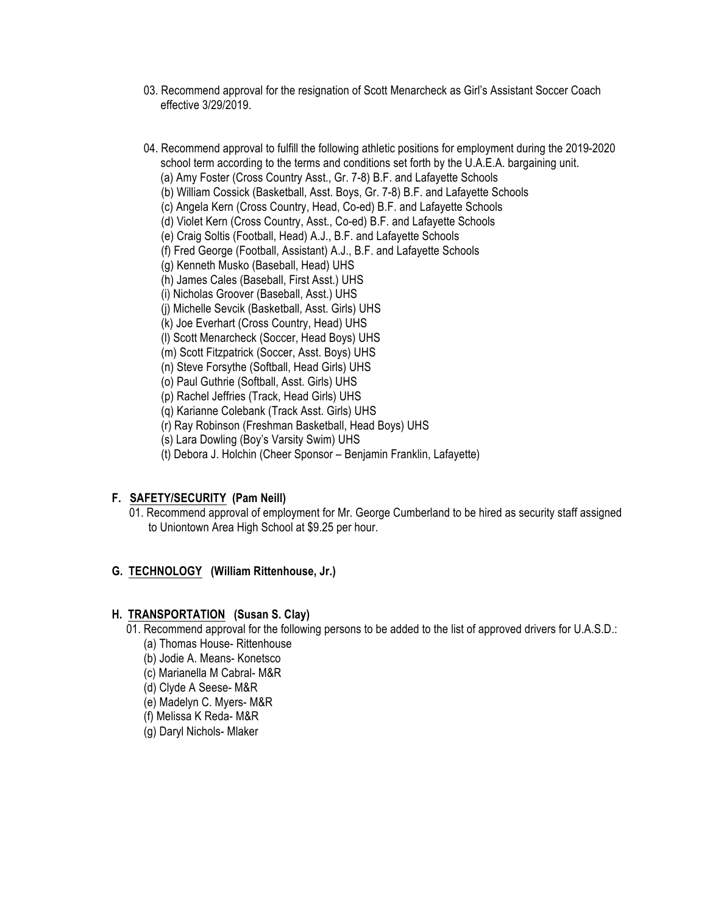- 03. Recommend approval for the resignation of Scott Menarcheck as Girl's Assistant Soccer Coach effective 3/29/2019.
- 04. Recommend approval to fulfill the following athletic positions for employment during the 2019-2020 school term according to the terms and conditions set forth by the U.A.E.A. bargaining unit.
	- (a) Amy Foster (Cross Country Asst., Gr. 7-8) B.F. and Lafayette Schools
	- (b) William Cossick (Basketball, Asst. Boys, Gr. 7-8) B.F. and Lafayette Schools
	- (c) Angela Kern (Cross Country, Head, Co-ed) B.F. and Lafayette Schools
	- (d) Violet Kern (Cross Country, Asst., Co-ed) B.F. and Lafayette Schools
	- (e) Craig Soltis (Football, Head) A.J., B.F. and Lafayette Schools
	- (f) Fred George (Football, Assistant) A.J., B.F. and Lafayette Schools
	- (g) Kenneth Musko (Baseball, Head) UHS
	- (h) James Cales (Baseball, First Asst.) UHS
	- (i) Nicholas Groover (Baseball, Asst.) UHS
	- (j) Michelle Sevcik (Basketball, Asst. Girls) UHS
	- (k) Joe Everhart (Cross Country, Head) UHS
	- (l) Scott Menarcheck (Soccer, Head Boys) UHS
	- (m) Scott Fitzpatrick (Soccer, Asst. Boys) UHS
	- (n) Steve Forsythe (Softball, Head Girls) UHS
	- (o) Paul Guthrie (Softball, Asst. Girls) UHS
	- (p) Rachel Jeffries (Track, Head Girls) UHS
	- (q) Karianne Colebank (Track Asst. Girls) UHS
	- (r) Ray Robinson (Freshman Basketball, Head Boys) UHS
	- (s) Lara Dowling (Boy's Varsity Swim) UHS
	- (t) Debora J. Holchin (Cheer Sponsor Benjamin Franklin, Lafayette)

# **F. SAFETY/SECURITY (Pam Neill)**

 01. Recommend approval of employment for Mr. George Cumberland to be hired as security staff assigned to Uniontown Area High School at \$9.25 per hour.

### **G. TECHNOLOGY (William Rittenhouse, Jr.)**

### **H. TRANSPORTATION (Susan S. Clay)**

- 01. Recommend approval for the following persons to be added to the list of approved drivers for U.A.S.D.:
	- (a) Thomas House- Rittenhouse
	- (b) Jodie A. Means- Konetsco
	- (c) Marianella M Cabral- M&R
	- (d) Clyde A Seese- M&R
	- (e) Madelyn C. Myers- M&R
	- (f) Melissa K Reda- M&R
	- (g) Daryl Nichols- Mlaker